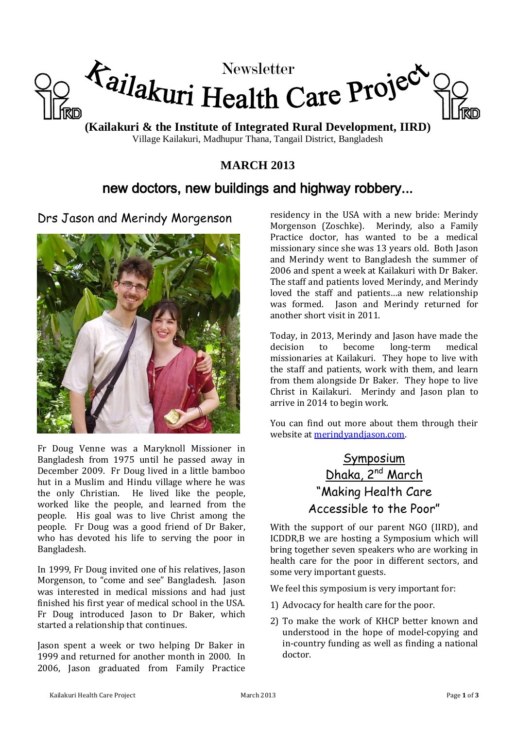

**(Kailakuri & the Institute of Integrated Rural Development, IIRD)** Village Kailakuri, Madhupur Thana, Tangail District, Bangladesh

## **MARCH 2013**

# new doctors, new buildings and highway robbery...

Drs Jason and Merindy Morgenson



Fr Doug Venne was a Maryknoll Missioner in Bangladesh from 1975 until he passed away in December 2009. Fr Doug lived in a little bamboo hut in a Muslim and Hindu village where he was the only Christian. He lived like the people, worked like the people, and learned from the people. His goal was to live Christ among the people. Fr Doug was a good friend of Dr Baker, who has devoted his life to serving the poor in Bangladesh.

In 1999, Fr Doug invited one of his relatives, Jason Morgenson, to "come and see" Bangladesh. Jason was interested in medical missions and had just finished his first year of medical school in the USA. Fr Doug introduced Jason to Dr Baker, which started a relationship that continues.

Jason spent a week or two helping Dr Baker in 1999 and returned for another month in 2000. In 2006, Jason graduated from Family Practice residency in the USA with a new bride: Merindy Morgenson (Zoschke). Merindy, also a Family Practice doctor, has wanted to be a medical missionary since she was 13 years old. Both Jason and Merindy went to Bangladesh the summer of 2006 and spent a week at Kailakuri with Dr Baker. The staff and patients loved Merindy, and Merindy loved the staff and patients…a new relationship was formed. Jason and Merindy returned for another short visit in 2011.

Today, in 2013, Merindy and Jason have made the decision to become long-term medical missionaries at Kailakuri. They hope to live with the staff and patients, work with them, and learn from them alongside Dr Baker. They hope to live Christ in Kailakuri. Merindy and Jason plan to arrive in 2014 to begin work.

You can find out more about them through their website a[t merindyandjason.com.](http://www.merindyandjason.com/)

# **Symposium** Dhaka, 2<sup>nd</sup> March "Making Health Care Accessible to the Poor"

With the support of our parent NGO (IIRD), and ICDDR,B we are hosting a Symposium which will bring together seven speakers who are working in health care for the poor in different sectors, and some very important guests.

We feel this symposium is very important for:

- 1) Advocacy for health care for the poor.
- 2) To make the work of KHCP better known and understood in the hope of model-copying and in-country funding as well as finding a national doctor.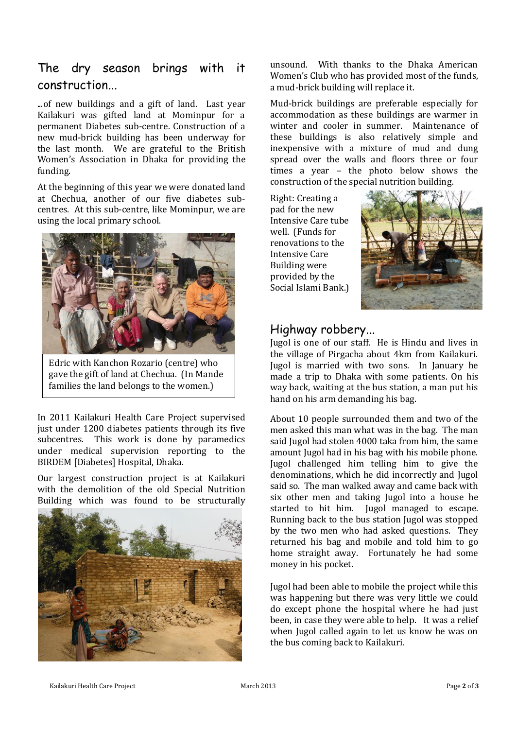## The dry season brings with it construction...

...of new buildings and a gift of land. Last year Kailakuri was gifted land at Mominpur for a permanent Diabetes sub-centre. Construction of a new mud-brick building has been underway for the last month. We are grateful to the British Women's Association in Dhaka for providing the funding.

At the beginning of this year we were donated land at Chechua, another of our five diabetes subcentres. At this sub-centre, like Mominpur, we are using the local primary school.



Edric with Kanchon Rozario (centre) who gave the gift of land at Chechua. (In Mande families the land belongs to the women.)

In 2011 Kailakuri Health Care Project supervised just under 1200 diabetes patients through its five subcentres. This work is done by paramedics under medical supervision reporting to the BIRDEM [Diabetes] Hospital, Dhaka.

Our largest construction project is at Kailakuri with the demolition of the old Special Nutrition Building which was found to be structurally



unsound. With thanks to the Dhaka American Women's Club who has provided most of the funds, a mud-brick building will replace it.

Mud-brick buildings are preferable especially for accommodation as these buildings are warmer in winter and cooler in summer. Maintenance of these buildings is also relatively simple and inexpensive with a mixture of mud and dung spread over the walls and floors three or four times a year – the photo below shows the construction of the special nutrition building.

Right: Creating a pad for the new Intensive Care tube well. (Funds for renovations to the Intensive Care Building were provided by the Social Islami Bank.)



### Highway robbery...

Jugol is one of our staff. He is Hindu and lives in the village of Pirgacha about 4km from Kailakuri. Jugol is married with two sons. In January he made a trip to Dhaka with some patients. On his way back, waiting at the bus station, a man put his hand on his arm demanding his bag.

About 10 people surrounded them and two of the men asked this man what was in the bag. The man said Jugol had stolen 4000 taka from him, the same amount Jugol had in his bag with his mobile phone. Jugol challenged him telling him to give the denominations, which he did incorrectly and Jugol said so. The man walked away and came back with six other men and taking Jugol into a house he started to hit him. Jugol managed to escape. Running back to the bus station Jugol was stopped by the two men who had asked questions. They returned his bag and mobile and told him to go home straight away. Fortunately he had some money in his pocket.

Jugol had been able to mobile the project while this was happening but there was very little we could do except phone the hospital where he had just been, in case they were able to help. It was a relief when Jugol called again to let us know he was on the bus coming back to Kailakuri.